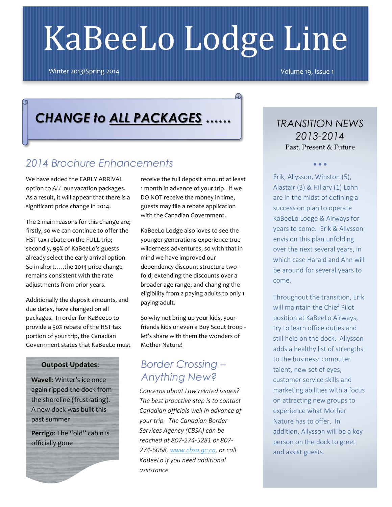# KaBeeLo Lodge Line

 $\Omega$ 

Winter 2013/Spring 2014Volume 19, Issue 1

## *CHANGE to ALL PACKAGES ……*

## *2014 Brochure Enhancements*

We have added the EARLY ARRIVAL option to *ALL* our vacation packages. As a result, it will appear that there is a significant price change in 2014.

The 2 main reasons for this change are; firstly, so we can continue to offer the HST tax rebate on the FULL trip; secondly, 99% of KaBeeLo's guests already select the early arrival option. So in short…..the 2014 price change remains consistent with the rate adjustments from prior years.

Additionally the deposit amounts, and due dates, have changed on all packages. In order for KaBeeLo to provide a 50% rebate of the HST tax portion of your trip, the Canadian Government states that KaBeeLo must

#### **Outpost Updates**:

**Wavell**: Winter's ice once again ripped the dock from the shoreline (frustrating). A new dock was built this past summer

**Perrigo**: The "old" cabin is officially gone

receive the full deposit amount at least 1 month in advance of your trip. If we DO NOT receive the money in time, guests may file a rebate application with the Canadian Government.

KaBeeLo Lodge also loves to see the younger generations experience true wilderness adventures, so with that in mind we have improved our dependency discount structure twofold; extending the discounts over a broader age range, and changing the eligibility from 2 paying adults to only 1 paying adult.

So why not bring up your kids, your friends kids or even a Boy Scout troop let's share with them the wonders of Mother Nature!

## *Border Crossing – Anything New?*

*Concerns about Law related issues? The best proactive step is to contact Canadian officials well in advance of your trip. The Canadian Border Services Agency (CBSA) can be reached at 807-274-5281 or 807- 274-6068, [www.cbsa.gc.ca,](http://www.cbsa.gc.ca/) or call KaBeeLo if you need additional assistance.*

*TRANSITION NEWS 2013-2014* Past, Present & Future

 $\bullet$   $\bullet$   $\bullet$ 

Erik, Allysson, Winston (5), Alastair (3) & Hillary (1) Lohn are in the midst of defining a succession plan to operate KaBeeLo Lodge & Airways for years to come. Erik & Allysson envision this plan unfolding over the next several years, in which case Harald and Ann will be around for several years to come.

Throughout the transition, Erik will maintain the Chief Pilot position at KaBeeLo Airways, try to learn office duties and still help on the dock. Allysson adds a healthy list of strengths to the business: computer talent, new set of eyes, customer service skills and marketing abilities with a focus on attracting new groups to experience what Mother Nature has to offer. In addition, Allysson will be a key person on the dock to greet and assist guests.